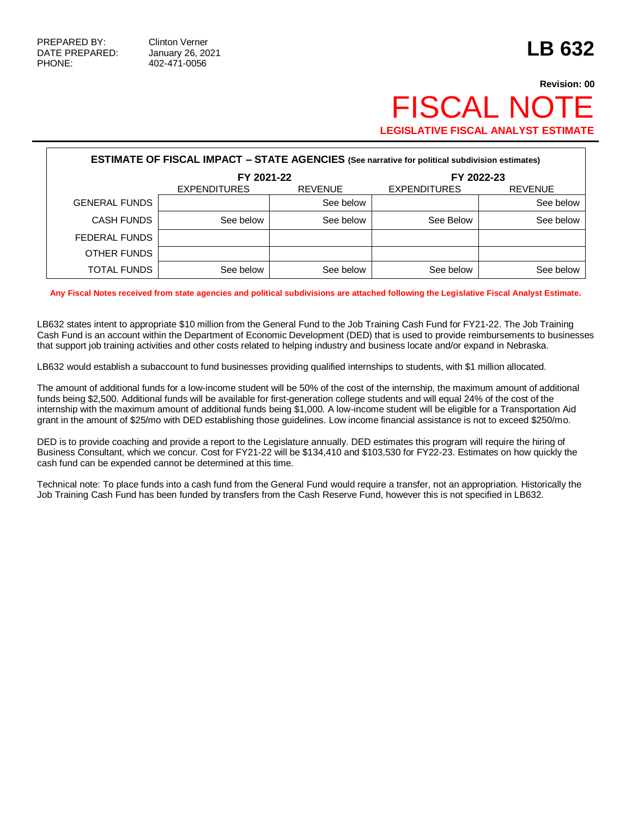## **Revision: 00 FISCAL NO LEGISLATIVE FISCAL ANALYST ESTIMATE**

| <b>ESTIMATE OF FISCAL IMPACT - STATE AGENCIES (See narrative for political subdivision estimates)</b> |                     |                |                     |                |  |  |  |  |  |
|-------------------------------------------------------------------------------------------------------|---------------------|----------------|---------------------|----------------|--|--|--|--|--|
|                                                                                                       | FY 2021-22          |                | FY 2022-23          |                |  |  |  |  |  |
|                                                                                                       | <b>EXPENDITURES</b> | <b>REVENUE</b> | <b>EXPENDITURES</b> | <b>REVENUE</b> |  |  |  |  |  |
| <b>GENERAL FUNDS</b>                                                                                  |                     | See below      |                     | See below      |  |  |  |  |  |
| <b>CASH FUNDS</b>                                                                                     | See below           | See below      | See Below           | See below      |  |  |  |  |  |
| FEDERAL FUNDS                                                                                         |                     |                |                     |                |  |  |  |  |  |
| OTHER FUNDS                                                                                           |                     |                |                     |                |  |  |  |  |  |
| <b>TOTAL FUNDS</b>                                                                                    | See below           | See below      | See below           | See below      |  |  |  |  |  |

**Any Fiscal Notes received from state agencies and political subdivisions are attached following the Legislative Fiscal Analyst Estimate.**

LB632 states intent to appropriate \$10 million from the General Fund to the Job Training Cash Fund for FY21-22. The Job Training Cash Fund is an account within the Department of Economic Development (DED) that is used to provide reimbursements to businesses that support job training activities and other costs related to helping industry and business locate and/or expand in Nebraska.

LB632 would establish a subaccount to fund businesses providing qualified internships to students, with \$1 million allocated.

The amount of additional funds for a low-income student will be 50% of the cost of the internship, the maximum amount of additional funds being \$2,500. Additional funds will be available for first-generation college students and will equal 24% of the cost of the internship with the maximum amount of additional funds being \$1,000. A low-income student will be eligible for a Transportation Aid grant in the amount of \$25/mo with DED establishing those guidelines. Low income financial assistance is not to exceed \$250/mo.

DED is to provide coaching and provide a report to the Legislature annually. DED estimates this program will require the hiring of Business Consultant, which we concur. Cost for FY21-22 will be \$134,410 and \$103,530 for FY22-23. Estimates on how quickly the cash fund can be expended cannot be determined at this time.

Technical note: To place funds into a cash fund from the General Fund would require a transfer, not an appropriation. Historically the Job Training Cash Fund has been funded by transfers from the Cash Reserve Fund, however this is not specified in LB632.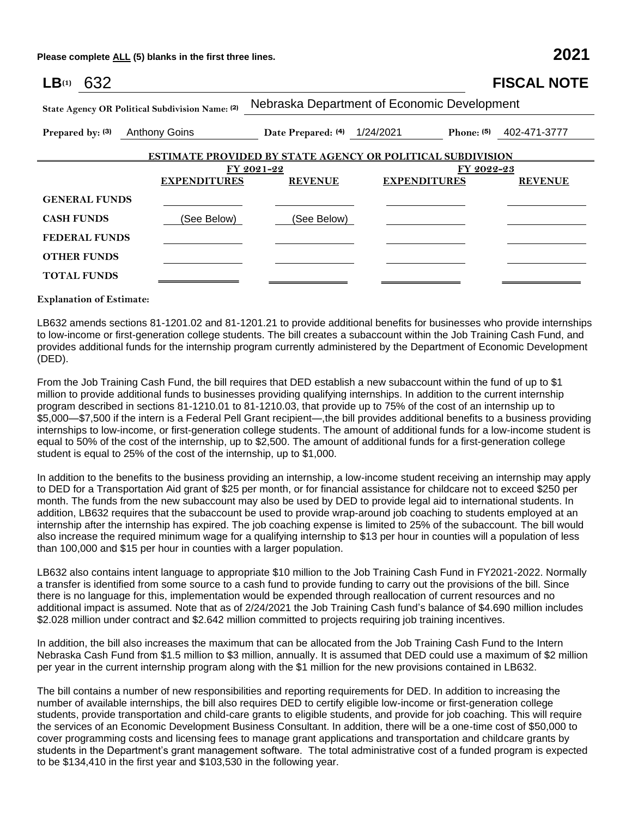**Please complete ALL (5) blanks in the first three lines. 2021**

| LB <sub>(1)</sub><br>632                                          |                      |                                             |                              | <b>FISCAL NOTE</b>      |  |  |  |  |  |
|-------------------------------------------------------------------|----------------------|---------------------------------------------|------------------------------|-------------------------|--|--|--|--|--|
| State Agency OR Political Subdivision Name: (2)                   |                      | Nebraska Department of Economic Development |                              |                         |  |  |  |  |  |
| Prepared by: (3)                                                  | <b>Anthony Goins</b> |                                             | Date Prepared: (4) 1/24/2021 | Phone: (5) 402-471-3777 |  |  |  |  |  |
| <b>ESTIMATE PROVIDED BY STATE AGENCY OR POLITICAL SUBDIVISION</b> |                      |                                             |                              |                         |  |  |  |  |  |
|                                                                   |                      | FY 2021-22                                  | FY 2022-23                   |                         |  |  |  |  |  |
|                                                                   | <b>EXPENDITURES</b>  | <b>REVENUE</b>                              | <b>EXPENDITURES</b>          | <b>REVENUE</b>          |  |  |  |  |  |
| <b>GENERAL FUNDS</b>                                              |                      |                                             |                              |                         |  |  |  |  |  |
| <b>CASH FUNDS</b>                                                 | (See Below)          | (See Below)                                 |                              |                         |  |  |  |  |  |
| <b>FEDERAL FUNDS</b>                                              |                      |                                             |                              |                         |  |  |  |  |  |
| <b>OTHER FUNDS</b>                                                |                      |                                             |                              |                         |  |  |  |  |  |
| <b>TOTAL FUNDS</b>                                                |                      |                                             |                              |                         |  |  |  |  |  |

**Explanation of Estimate:**

LB632 amends sections 81-1201.02 and 81-1201.21 to provide additional benefits for businesses who provide internships to low-income or first-generation college students. The bill creates a subaccount within the Job Training Cash Fund, and provides additional funds for the internship program currently administered by the Department of Economic Development (DED).

From the Job Training Cash Fund, the bill requires that DED establish a new subaccount within the fund of up to \$1 million to provide additional funds to businesses providing qualifying internships. In addition to the current internship program described in sections 81-1210.01 to 81-1210.03, that provide up to 75% of the cost of an internship up to \$5,000—\$7,500 if the intern is a Federal Pell Grant recipient—,the bill provides additional benefits to a business providing internships to low-income, or first-generation college students. The amount of additional funds for a low-income student is equal to 50% of the cost of the internship, up to \$2,500. The amount of additional funds for a first-generation college student is equal to 25% of the cost of the internship, up to \$1,000.

In addition to the benefits to the business providing an internship, a low-income student receiving an internship may apply to DED for a Transportation Aid grant of \$25 per month, or for financial assistance for childcare not to exceed \$250 per month. The funds from the new subaccount may also be used by DED to provide legal aid to international students. In addition, LB632 requires that the subaccount be used to provide wrap-around job coaching to students employed at an internship after the internship has expired. The job coaching expense is limited to 25% of the subaccount. The bill would also increase the required minimum wage for a qualifying internship to \$13 per hour in counties will a population of less than 100,000 and \$15 per hour in counties with a larger population.

LB632 also contains intent language to appropriate \$10 million to the Job Training Cash Fund in FY2021-2022. Normally a transfer is identified from some source to a cash fund to provide funding to carry out the provisions of the bill. Since there is no language for this, implementation would be expended through reallocation of current resources and no additional impact is assumed. Note that as of 2/24/2021 the Job Training Cash fund's balance of \$4.690 million includes \$2.028 million under contract and \$2.642 million committed to projects requiring job training incentives.

In addition, the bill also increases the maximum that can be allocated from the Job Training Cash Fund to the Intern Nebraska Cash Fund from \$1.5 million to \$3 million, annually. It is assumed that DED could use a maximum of \$2 million per year in the current internship program along with the \$1 million for the new provisions contained in LB632.

The bill contains a number of new responsibilities and reporting requirements for DED. In addition to increasing the number of available internships, the bill also requires DED to certify eligible low-income or first-generation college students, provide transportation and child-care grants to eligible students, and provide for job coaching. This will require the services of an Economic Development Business Consultant. In addition, there will be a one-time cost of \$50,000 to cover programming costs and licensing fees to manage grant applications and transportation and childcare grants by students in the Department's grant management software. The total administrative cost of a funded program is expected to be \$134,410 in the first year and \$103,530 in the following year.